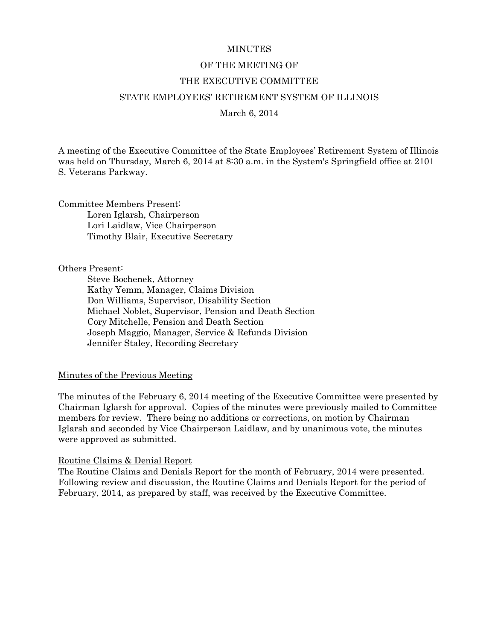#### **MINUTES**

#### OF THE MEETING OF

### THE EXECUTIVE COMMITTEE

#### STATE EMPLOYEES' RETIREMENT SYSTEM OF ILLINOIS

#### March 6, 2014

A meeting of the Executive Committee of the State Employees' Retirement System of Illinois was held on Thursday, March 6, 2014 at 8:30 a.m. in the System's Springfield office at 2101 S. Veterans Parkway.

Committee Members Present: Loren Iglarsh, Chairperson Lori Laidlaw, Vice Chairperson Timothy Blair, Executive Secretary

Others Present:

 Steve Bochenek, Attorney Kathy Yemm, Manager, Claims Division Don Williams, Supervisor, Disability Section Michael Noblet, Supervisor, Pension and Death Section Cory Mitchelle, Pension and Death Section Joseph Maggio, Manager, Service & Refunds Division Jennifer Staley, Recording Secretary

Minutes of the Previous Meeting

The minutes of the February 6, 2014 meeting of the Executive Committee were presented by Chairman Iglarsh for approval. Copies of the minutes were previously mailed to Committee members for review. There being no additions or corrections, on motion by Chairman Iglarsh and seconded by Vice Chairperson Laidlaw, and by unanimous vote, the minutes were approved as submitted.

#### Routine Claims & Denial Report

The Routine Claims and Denials Report for the month of February, 2014 were presented. Following review and discussion, the Routine Claims and Denials Report for the period of February, 2014, as prepared by staff, was received by the Executive Committee.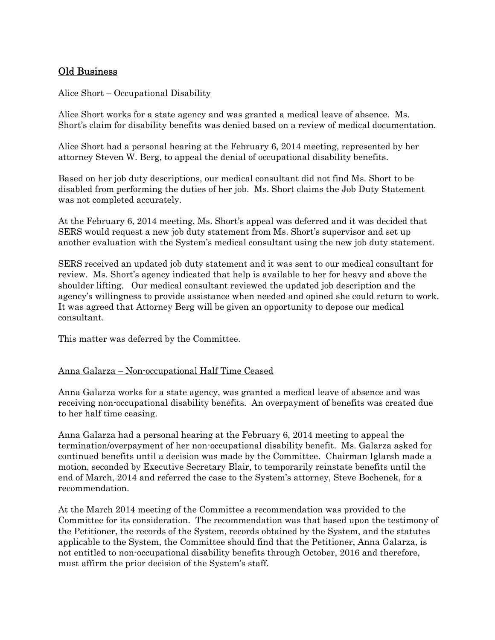# Old Business

### Alice Short – Occupational Disability

Alice Short works for a state agency and was granted a medical leave of absence. Ms. Short's claim for disability benefits was denied based on a review of medical documentation.

Alice Short had a personal hearing at the February 6, 2014 meeting, represented by her attorney Steven W. Berg, to appeal the denial of occupational disability benefits.

Based on her job duty descriptions, our medical consultant did not find Ms. Short to be disabled from performing the duties of her job. Ms. Short claims the Job Duty Statement was not completed accurately.

At the February 6, 2014 meeting, Ms. Short's appeal was deferred and it was decided that SERS would request a new job duty statement from Ms. Short's supervisor and set up another evaluation with the System's medical consultant using the new job duty statement.

SERS received an updated job duty statement and it was sent to our medical consultant for review. Ms. Short's agency indicated that help is available to her for heavy and above the shoulder lifting. Our medical consultant reviewed the updated job description and the agency's willingness to provide assistance when needed and opined she could return to work. It was agreed that Attorney Berg will be given an opportunity to depose our medical consultant.

This matter was deferred by the Committee.

#### Anna Galarza – Non-occupational Half Time Ceased

Anna Galarza works for a state agency, was granted a medical leave of absence and was receiving non-occupational disability benefits. An overpayment of benefits was created due to her half time ceasing.

Anna Galarza had a personal hearing at the February 6, 2014 meeting to appeal the termination/overpayment of her non-occupational disability benefit. Ms. Galarza asked for continued benefits until a decision was made by the Committee. Chairman Iglarsh made a motion, seconded by Executive Secretary Blair, to temporarily reinstate benefits until the end of March, 2014 and referred the case to the System's attorney, Steve Bochenek, for a recommendation.

At the March 2014 meeting of the Committee a recommendation was provided to the Committee for its consideration. The recommendation was that based upon the testimony of the Petitioner, the records of the System, records obtained by the System, and the statutes applicable to the System, the Committee should find that the Petitioner, Anna Galarza, is not entitled to non-occupational disability benefits through October, 2016 and therefore, must affirm the prior decision of the System's staff.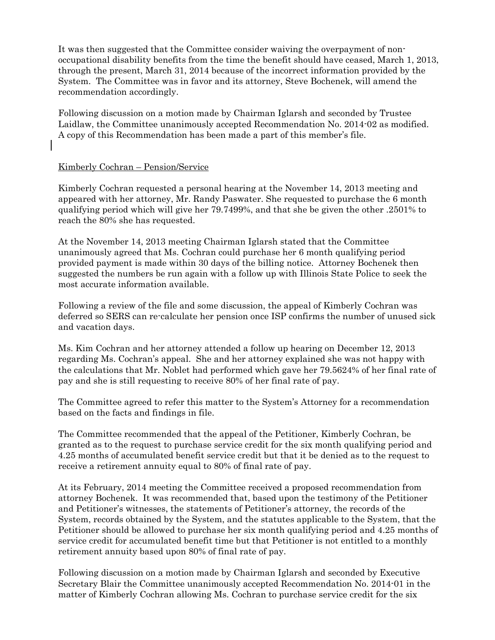It was then suggested that the Committee consider waiving the overpayment of nonoccupational disability benefits from the time the benefit should have ceased, March 1, 2013, through the present, March 31, 2014 because of the incorrect information provided by the System. The Committee was in favor and its attorney, Steve Bochenek, will amend the recommendation accordingly.

Following discussion on a motion made by Chairman Iglarsh and seconded by Trustee Laidlaw, the Committee unanimously accepted Recommendation No. 2014-02 as modified. A copy of this Recommendation has been made a part of this member's file.

### Kimberly Cochran – Pension/Service

Kimberly Cochran requested a personal hearing at the November 14, 2013 meeting and appeared with her attorney, Mr. Randy Paswater. She requested to purchase the 6 month qualifying period which will give her 79.7499%, and that she be given the other .2501% to reach the 80% she has requested.

At the November 14, 2013 meeting Chairman Iglarsh stated that the Committee unanimously agreed that Ms. Cochran could purchase her 6 month qualifying period provided payment is made within 30 days of the billing notice. Attorney Bochenek then suggested the numbers be run again with a follow up with Illinois State Police to seek the most accurate information available.

Following a review of the file and some discussion, the appeal of Kimberly Cochran was deferred so SERS can re-calculate her pension once ISP confirms the number of unused sick and vacation days.

Ms. Kim Cochran and her attorney attended a follow up hearing on December 12, 2013 regarding Ms. Cochran's appeal. She and her attorney explained she was not happy with the calculations that Mr. Noblet had performed which gave her 79.5624% of her final rate of pay and she is still requesting to receive 80% of her final rate of pay.

The Committee agreed to refer this matter to the System's Attorney for a recommendation based on the facts and findings in file.

The Committee recommended that the appeal of the Petitioner, Kimberly Cochran, be granted as to the request to purchase service credit for the six month qualifying period and 4.25 months of accumulated benefit service credit but that it be denied as to the request to receive a retirement annuity equal to 80% of final rate of pay.

At its February, 2014 meeting the Committee received a proposed recommendation from attorney Bochenek. It was recommended that, based upon the testimony of the Petitioner and Petitioner's witnesses, the statements of Petitioner's attorney, the records of the System, records obtained by the System, and the statutes applicable to the System, that the Petitioner should be allowed to purchase her six month qualifying period and 4.25 months of service credit for accumulated benefit time but that Petitioner is not entitled to a monthly retirement annuity based upon 80% of final rate of pay.

Following discussion on a motion made by Chairman Iglarsh and seconded by Executive Secretary Blair the Committee unanimously accepted Recommendation No. 2014-01 in the matter of Kimberly Cochran allowing Ms. Cochran to purchase service credit for the six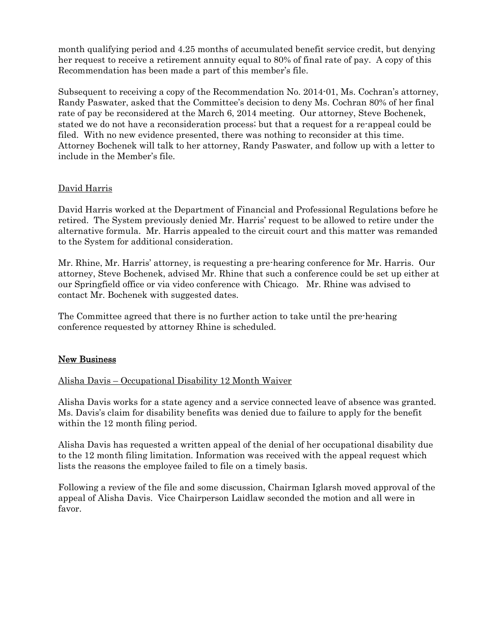month qualifying period and 4.25 months of accumulated benefit service credit, but denying her request to receive a retirement annuity equal to 80% of final rate of pay. A copy of this Recommendation has been made a part of this member's file.

Subsequent to receiving a copy of the Recommendation No. 2014-01, Ms. Cochran's attorney, Randy Paswater, asked that the Committee's decision to deny Ms. Cochran 80% of her final rate of pay be reconsidered at the March 6, 2014 meeting. Our attorney, Steve Bochenek, stated we do not have a reconsideration process; but that a request for a re-appeal could be filed. With no new evidence presented, there was nothing to reconsider at this time. Attorney Bochenek will talk to her attorney, Randy Paswater, and follow up with a letter to include in the Member's file.

# David Harris

David Harris worked at the Department of Financial and Professional Regulations before he retired. The System previously denied Mr. Harris' request to be allowed to retire under the alternative formula. Mr. Harris appealed to the circuit court and this matter was remanded to the System for additional consideration.

Mr. Rhine, Mr. Harris' attorney, is requesting a pre-hearing conference for Mr. Harris. Our attorney, Steve Bochenek, advised Mr. Rhine that such a conference could be set up either at our Springfield office or via video conference with Chicago. Mr. Rhine was advised to contact Mr. Bochenek with suggested dates.

The Committee agreed that there is no further action to take until the pre-hearing conference requested by attorney Rhine is scheduled.

# New Business

# Alisha Davis – Occupational Disability 12 Month Waiver

Alisha Davis works for a state agency and a service connected leave of absence was granted. Ms. Davis's claim for disability benefits was denied due to failure to apply for the benefit within the 12 month filing period.

Alisha Davis has requested a written appeal of the denial of her occupational disability due to the 12 month filing limitation. Information was received with the appeal request which lists the reasons the employee failed to file on a timely basis.

Following a review of the file and some discussion, Chairman Iglarsh moved approval of the appeal of Alisha Davis. Vice Chairperson Laidlaw seconded the motion and all were in favor.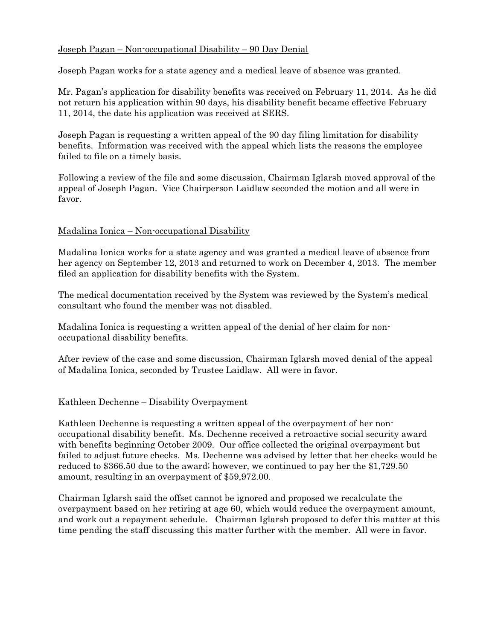# Joseph Pagan – Non-occupational Disability – 90 Day Denial

Joseph Pagan works for a state agency and a medical leave of absence was granted.

Mr. Pagan's application for disability benefits was received on February 11, 2014. As he did not return his application within 90 days, his disability benefit became effective February 11, 2014, the date his application was received at SERS.

Joseph Pagan is requesting a written appeal of the 90 day filing limitation for disability benefits. Information was received with the appeal which lists the reasons the employee failed to file on a timely basis.

Following a review of the file and some discussion, Chairman Iglarsh moved approval of the appeal of Joseph Pagan. Vice Chairperson Laidlaw seconded the motion and all were in favor.

# Madalina Ionica – Non-occupational Disability

Madalina Ionica works for a state agency and was granted a medical leave of absence from her agency on September 12, 2013 and returned to work on December 4, 2013. The member filed an application for disability benefits with the System.

The medical documentation received by the System was reviewed by the System's medical consultant who found the member was not disabled.

Madalina Ionica is requesting a written appeal of the denial of her claim for nonoccupational disability benefits.

After review of the case and some discussion, Chairman Iglarsh moved denial of the appeal of Madalina Ionica, seconded by Trustee Laidlaw. All were in favor.

# Kathleen Dechenne – Disability Overpayment

Kathleen Dechenne is requesting a written appeal of the overpayment of her nonoccupational disability benefit. Ms. Dechenne received a retroactive social security award with benefits beginning October 2009. Our office collected the original overpayment but failed to adjust future checks. Ms. Dechenne was advised by letter that her checks would be reduced to \$366.50 due to the award; however, we continued to pay her the \$1,729.50 amount, resulting in an overpayment of \$59,972.00.

Chairman Iglarsh said the offset cannot be ignored and proposed we recalculate the overpayment based on her retiring at age 60, which would reduce the overpayment amount, and work out a repayment schedule. Chairman Iglarsh proposed to defer this matter at this time pending the staff discussing this matter further with the member. All were in favor.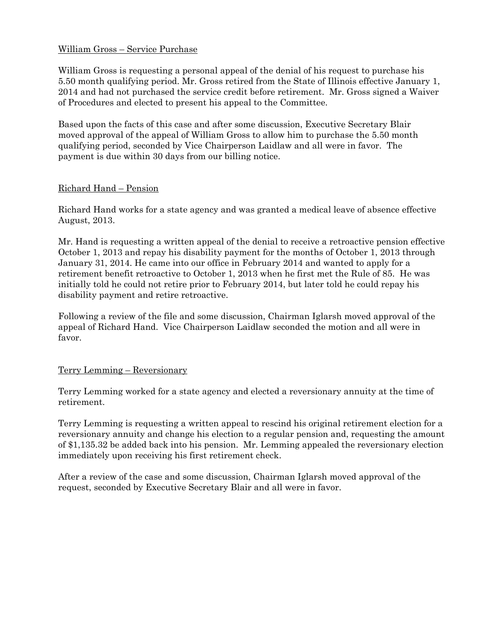# William Gross – Service Purchase

William Gross is requesting a personal appeal of the denial of his request to purchase his 5.50 month qualifying period. Mr. Gross retired from the State of Illinois effective January 1, 2014 and had not purchased the service credit before retirement. Mr. Gross signed a Waiver of Procedures and elected to present his appeal to the Committee.

Based upon the facts of this case and after some discussion, Executive Secretary Blair moved approval of the appeal of William Gross to allow him to purchase the 5.50 month qualifying period, seconded by Vice Chairperson Laidlaw and all were in favor. The payment is due within 30 days from our billing notice.

### Richard Hand – Pension

Richard Hand works for a state agency and was granted a medical leave of absence effective August, 2013.

Mr. Hand is requesting a written appeal of the denial to receive a retroactive pension effective October 1, 2013 and repay his disability payment for the months of October 1, 2013 through January 31, 2014. He came into our office in February 2014 and wanted to apply for a retirement benefit retroactive to October 1, 2013 when he first met the Rule of 85. He was initially told he could not retire prior to February 2014, but later told he could repay his disability payment and retire retroactive.

Following a review of the file and some discussion, Chairman Iglarsh moved approval of the appeal of Richard Hand. Vice Chairperson Laidlaw seconded the motion and all were in favor.

# Terry Lemming – Reversionary

Terry Lemming worked for a state agency and elected a reversionary annuity at the time of retirement.

Terry Lemming is requesting a written appeal to rescind his original retirement election for a reversionary annuity and change his election to a regular pension and, requesting the amount of \$1,135.32 be added back into his pension. Mr. Lemming appealed the reversionary election immediately upon receiving his first retirement check.

After a review of the case and some discussion, Chairman Iglarsh moved approval of the request, seconded by Executive Secretary Blair and all were in favor.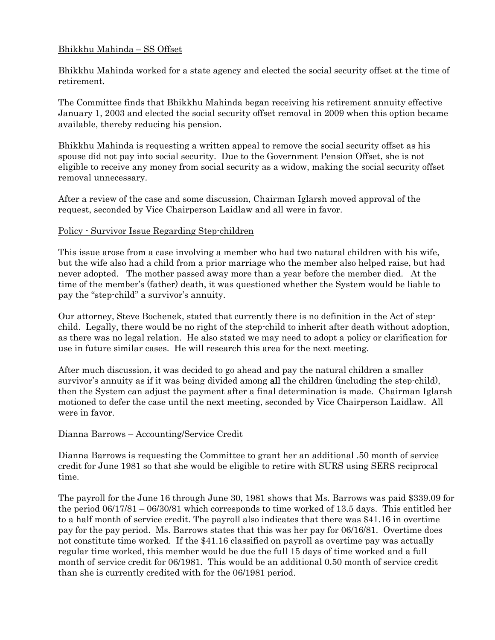# Bhikkhu Mahinda – SS Offset

Bhikkhu Mahinda worked for a state agency and elected the social security offset at the time of retirement.

The Committee finds that Bhikkhu Mahinda began receiving his retirement annuity effective January 1, 2003 and elected the social security offset removal in 2009 when this option became available, thereby reducing his pension.

Bhikkhu Mahinda is requesting a written appeal to remove the social security offset as his spouse did not pay into social security. Due to the Government Pension Offset, she is not eligible to receive any money from social security as a widow, making the social security offset removal unnecessary.

After a review of the case and some discussion, Chairman Iglarsh moved approval of the request, seconded by Vice Chairperson Laidlaw and all were in favor.

### Policy - Survivor Issue Regarding Step-children

This issue arose from a case involving a member who had two natural children with his wife, but the wife also had a child from a prior marriage who the member also helped raise, but had never adopted. The mother passed away more than a year before the member died. At the time of the member's (father) death, it was questioned whether the System would be liable to pay the "step-child" a survivor's annuity.

Our attorney, Steve Bochenek, stated that currently there is no definition in the Act of stepchild. Legally, there would be no right of the step-child to inherit after death without adoption, as there was no legal relation. He also stated we may need to adopt a policy or clarification for use in future similar cases. He will research this area for the next meeting.

After much discussion, it was decided to go ahead and pay the natural children a smaller survivor's annuity as if it was being divided among all the children (including the step-child), then the System can adjust the payment after a final determination is made. Chairman Iglarsh motioned to defer the case until the next meeting, seconded by Vice Chairperson Laidlaw. All were in favor.

# Dianna Barrows – Accounting/Service Credit

Dianna Barrows is requesting the Committee to grant her an additional .50 month of service credit for June 1981 so that she would be eligible to retire with SURS using SERS reciprocal time.

The payroll for the June 16 through June 30, 1981 shows that Ms. Barrows was paid \$339.09 for the period 06/17/81 – 06/30/81 which corresponds to time worked of 13.5 days. This entitled her to a half month of service credit. The payroll also indicates that there was \$41.16 in overtime pay for the pay period. Ms. Barrows states that this was her pay for 06/16/81. Overtime does not constitute time worked. If the \$41.16 classified on payroll as overtime pay was actually regular time worked, this member would be due the full 15 days of time worked and a full month of service credit for 06/1981. This would be an additional 0.50 month of service credit than she is currently credited with for the 06/1981 period.